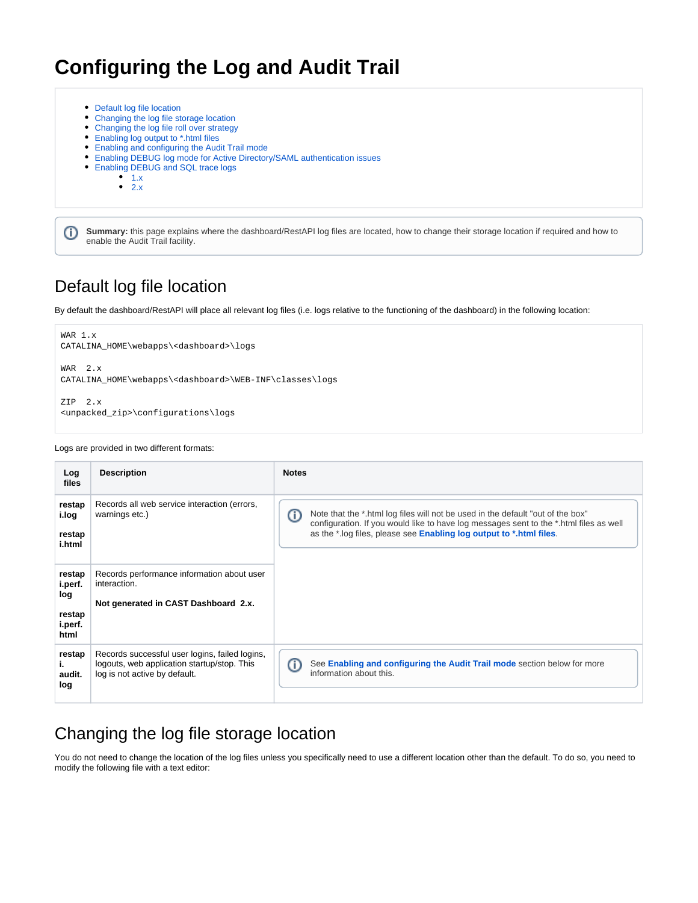# **Configuring the Log and Audit Trail**

- [Default log file location](#page-0-0) [Changing the log file storage location](#page-0-1) [Changing the log file roll over strategy](#page-1-0) [Enabling log output to \\*.html files](#page-2-0) [Enabling and configuring the Audit Trail mode](#page-2-1) [Enabling DEBUG log mode for Active Directory/SAML authentication issues](#page-3-0) • [Enabling DEBUG and SQL trace logs](#page-4-0)<br>• 1.x  $1.x$ 
	- $\bullet$  [2.x](#page-5-0)

**Summary:** this page explains where the dashboard/RestAPI log files are located, how to change their storage location if required and how to ⊕ enable the Audit Trail facility.

# <span id="page-0-0"></span>Default log file location

By default the dashboard/RestAPI will place all relevant log files (i.e. logs relative to the functioning of the dashboard) in the following location:

```
WAR 1.x
CATALINA_HOME\webapps\<dashboard>\logs
WAR 2.x
CATALINA_HOME\webapps\<dashboard>\WEB-INF\classes\logs
```
ZIP 2.x <unpacked\_zip>\configurations\logs

#### Logs are provided in two different formats:

| Log<br>files                                          | <b>Description</b>                                                                                                             | <b>Notes</b>                                                                                                                                                                                                                                          |
|-------------------------------------------------------|--------------------------------------------------------------------------------------------------------------------------------|-------------------------------------------------------------------------------------------------------------------------------------------------------------------------------------------------------------------------------------------------------|
| restap<br>i.log<br>restap<br>i.html                   | Records all web service interaction (errors,<br>warnings etc.)                                                                 | ⋒<br>Note that the *.html log files will not be used in the default "out of the box"<br>configuration. If you would like to have log messages sent to the *.html files as well<br>as the *.log files, please see Enabling log output to *.html files. |
| restap<br>i.perf.<br>log<br>restap<br>i.perf.<br>html | Records performance information about user<br>interaction.<br>Not generated in CAST Dashboard 2.x.                             |                                                                                                                                                                                                                                                       |
| restap<br>ь.<br>audit.<br>log                         | Records successful user logins, failed logins,<br>logouts, web application startup/stop. This<br>log is not active by default. | See Enabling and configuring the Audit Trail mode section below for more<br>O<br>information about this.                                                                                                                                              |

## <span id="page-0-1"></span>Changing the log file storage location

You do not need to change the location of the log files unless you specifically need to use a different location other than the default. To do so, you need to modify the following file with a text editor: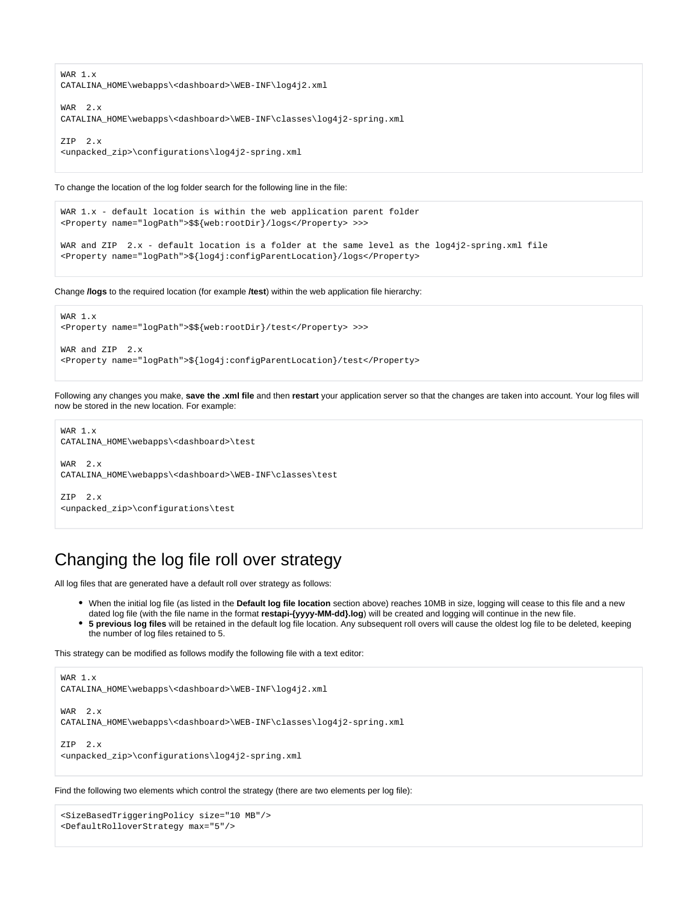WAR 1.x CATALINA\_HOME\webapps\<dashboard>\WEB-INF\log4j2.xml WAR 2.x

CATALINA\_HOME\webapps\<dashboard>\WEB-INF\classes\log4j2-spring.xml

ZIP 2.x <unpacked\_zip>\configurations\log4j2-spring.xml

#### To change the location of the log folder search for the following line in the file:

```
WAR 1.x - default location is within the web application parent folder
<Property name="logPath">$${web:rootDir}/logs</Property> >>>
WAR and ZIP 2.x - default location is a folder at the same level as the log4j2-spring.xml file
<Property name="logPath">${log4j:configParentLocation}/logs</Property>
```
Change **/logs** to the required location (for example **/test**) within the web application file hierarchy:

```
WAR 1.x
<Property name="logPath">$${web:rootDir}/test</Property> >>>
WAR and ZIP 2.x
<Property name="logPath">${log4j:configParentLocation}/test</Property>
```
Following any changes you make, **save the .xml file** and then **restart** your application server so that the changes are taken into account. Your log files will now be stored in the new location. For example:

```
WAR 1.x
CATALINA_HOME\webapps\<dashboard>\test
WAR 2.x
CATALINA_HOME\webapps\<dashboard>\WEB-INF\classes\test
```
ZIP 2.x <unpacked\_zip>\configurations\test

## <span id="page-1-0"></span>Changing the log file roll over strategy

All log files that are generated have a default roll over strategy as follows:

- When the initial log file (as listed in the **Default log file location** section above) reaches 10MB in size, logging will cease to this file and a new dated log file (with the file name in the format **restapi-{yyyy-MM-dd}.log**) will be created and logging will continue in the new file.
- **5 previous log files** will be retained in the default log file location. Any subsequent roll overs will cause the oldest log file to be deleted, keeping the number of log files retained to 5.

This strategy can be modified as follows modify the following file with a text editor:

```
WAR 1.x
CATALINA_HOME\webapps\<dashboard>\WEB-INF\log4j2.xml
```
WAR 2.x CATALINA\_HOME\webapps\<dashboard>\WEB-INF\classes\log4j2-spring.xml

 $ZTP = 2 \times$ <unpacked\_zip>\configurations\log4j2-spring.xml

Find the following two elements which control the strategy (there are two elements per log file):

```
<SizeBasedTriggeringPolicy size="10 MB"/>
<DefaultRolloverStrategy max="5"/>
```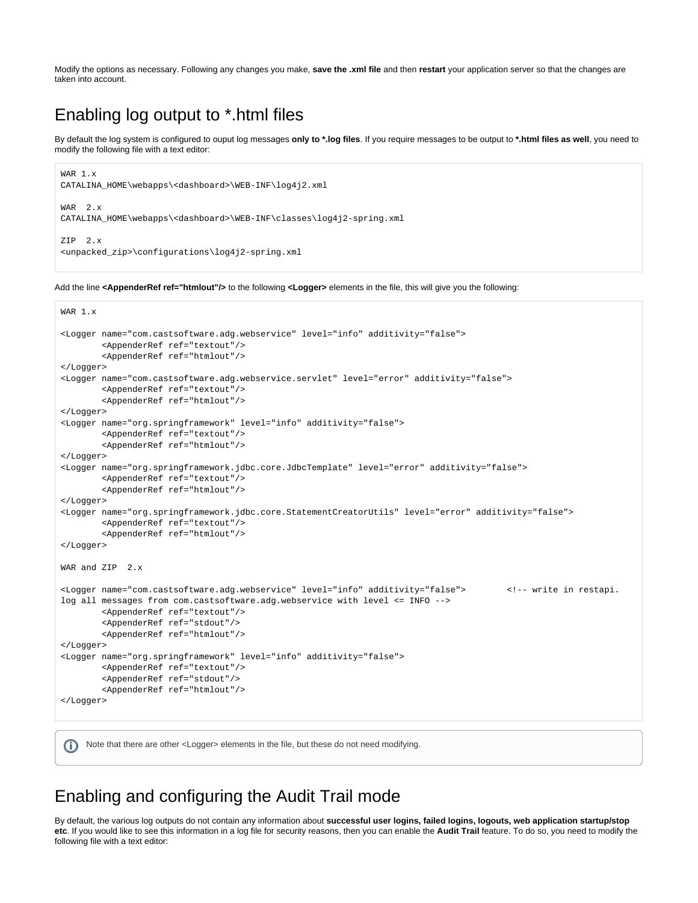Modify the options as necessary. Following any changes you make, **save the .xml file** and then **restart** your application server so that the changes are taken into account.

## <span id="page-2-0"></span>Enabling log output to \*.html files

By default the log system is configured to ouput log messages **only to \*.log files**. If you require messages to be output to **\*.html files as well**, you need to modify the following file with a text editor:

```
WAR 1.x
CATALINA_HOME\webapps\<dashboard>\WEB-INF\log4j2.xml
WAR 2.x
CATALINA_HOME\webapps\<dashboard>\WEB-INF\classes\log4j2-spring.xml
ZIP 2.x
<unpacked_zip>\configurations\log4j2-spring.xml
```
Add the line **<AppenderRef ref="htmlout"/>** to the following **<Logger>** elements in the file, this will give you the following:

```
WAR 1.x
<Logger name="com.castsoftware.adg.webservice" level="info" additivity="false">
         <AppenderRef ref="textout"/>
         <AppenderRef ref="htmlout"/>
</Logger>
<Logger name="com.castsoftware.adg.webservice.servlet" level="error" additivity="false">
         <AppenderRef ref="textout"/>
         <AppenderRef ref="htmlout"/>
</Logger>
<Logger name="org.springframework" level="info" additivity="false">
         <AppenderRef ref="textout"/>
         <AppenderRef ref="htmlout"/>
</Logger>
<Logger name="org.springframework.jdbc.core.JdbcTemplate" level="error" additivity="false">
         <AppenderRef ref="textout"/>
         <AppenderRef ref="htmlout"/>
</Logger>
<Logger name="org.springframework.jdbc.core.StatementCreatorUtils" level="error" additivity="false">
         <AppenderRef ref="textout"/>
         <AppenderRef ref="htmlout"/>
</Logger>
WAR and ZIP 2.x
<Logger name="com.castsoftware.adg.webservice" level="info" additivity="false"> <!-- write in restapi.
log all messages from com.castsoftware.adg.webservice with level <= INFO -->
         <AppenderRef ref="textout"/>
         <AppenderRef ref="stdout"/>
         <AppenderRef ref="htmlout"/>
</Logger>
<Logger name="org.springframework" level="info" additivity="false">
         <AppenderRef ref="textout"/>
         <AppenderRef ref="stdout"/>
         <AppenderRef ref="htmlout"/>
</Logger>
```
Note that there are other <Logger> elements in the file, but these do not need modifying.

### <span id="page-2-1"></span>Enabling and configuring the Audit Trail mode

G)

By default, the various log outputs do not contain any information about **successful user logins, failed logins, logouts, web application startup/stop etc**. If you would like to see this information in a log file for security reasons, then you can enable the **Audit Trail** feature. To do so, you need to modify the following file with a text editor: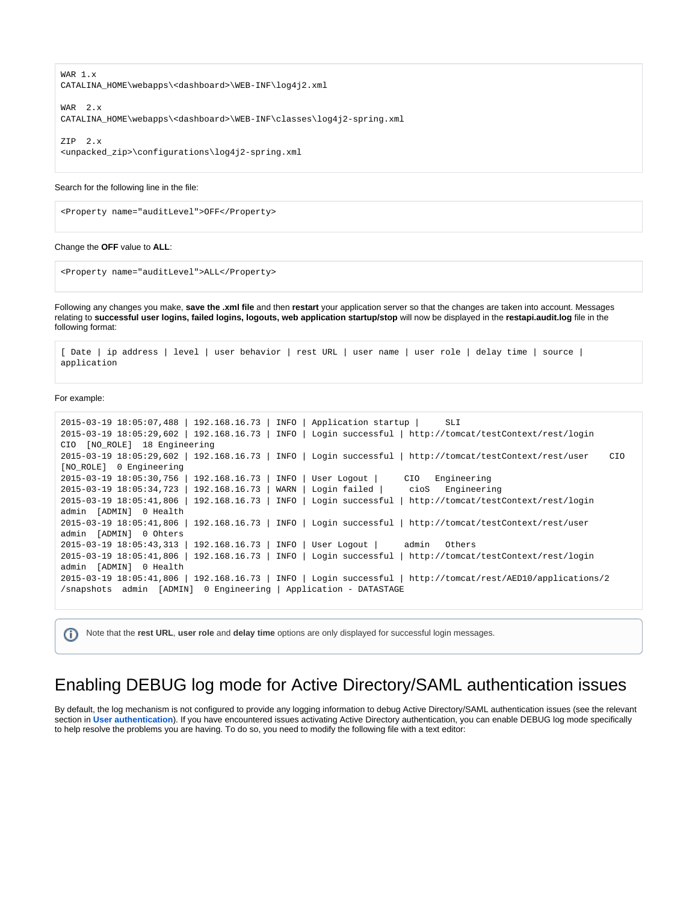WAR 1.x CATALINA\_HOME\webapps\<dashboard>\WEB-INF\log4j2.xml WAR 2.x

CATALINA\_HOME\webapps\<dashboard>\WEB-INF\classes\log4j2-spring.xml

ZIP 2.x <unpacked\_zip>\configurations\log4j2-spring.xml

#### Search for the following line in the file:

<Property name="auditLevel">OFF</Property>

#### Change the **OFF** value to **ALL**:

<Property name="auditLevel">ALL</Property>

Following any changes you make, **save the .xml file** and then **restart** your application server so that the changes are taken into account. Messages relating to **successful user logins, failed logins, logouts, web application startup/stop** will now be displayed in the **restapi.audit.log** file in the following format:

```
[ Date | ip address | level | user behavior | rest URL | user name | user role | delay time | source | 
application
```
For example:

```
2015-03-19 18:05:07,488 | 192.168.16.73 | INFO | Application startup | SLI 
2015-03-19 18:05:29,602 | 192.168.16.73 | INFO | Login successful | http://tomcat/testContext/rest/login 
CIO [NO_ROLE] 18 Engineering
2015-03-19 18:05:29,602 | 192.168.16.73 | INFO | Login successful | http://tomcat/testContext/rest/user CIO 
[NO_ROLE] 0 Engineering
2015-03-19 18:05:30,756 | 192.168.16.73 | INFO | User Logout | CIO Engineering
2015-03-19 18:05:34,723 | 192.168.16.73 | WARN | Login failed | cioS Engineering
2015-03-19 18:05:41,806 | 192.168.16.73 | INFO | Login successful | http://tomcat/testContext/rest/login 
admin [ADMIN] 0 Health
2015-03-19 18:05:41,806 | 192.168.16.73 | INFO | Login successful | http://tomcat/testContext/rest/user 
admin [ADMIN] 0 Ohters
2015-03-19 18:05:43,313 | 192.168.16.73 | INFO | User Logout | admin Others
2015-03-19 18:05:41,806 | 192.168.16.73 | INFO | Login successful | http://tomcat/testContext/rest/login 
admin [ADMIN] 0 Health
2015-03-19 18:05:41,806 | 192.168.16.73 | INFO | Login successful | http://tomcat/rest/AED10/applications/2
/snapshots admin [ADMIN] 0 Engineering | Application - DATASTAGE
```
Note that the **rest URL**, **user role** and **delay time** options are only displayed for successful login messages.G)

### <span id="page-3-0"></span>Enabling DEBUG log mode for Active Directory/SAML authentication issues

By default, the log mechanism is not configured to provide any logging information to debug Active Directory/SAML authentication issues (see the relevant section in [User authentication](https://doc.castsoftware.com/display/DASHBOARDS/User+authentication)). If you have encountered issues activating Active Directory authentication, you can enable DEBUG log mode specifically to help resolve the problems you are having. To do so, you need to modify the following file with a text editor: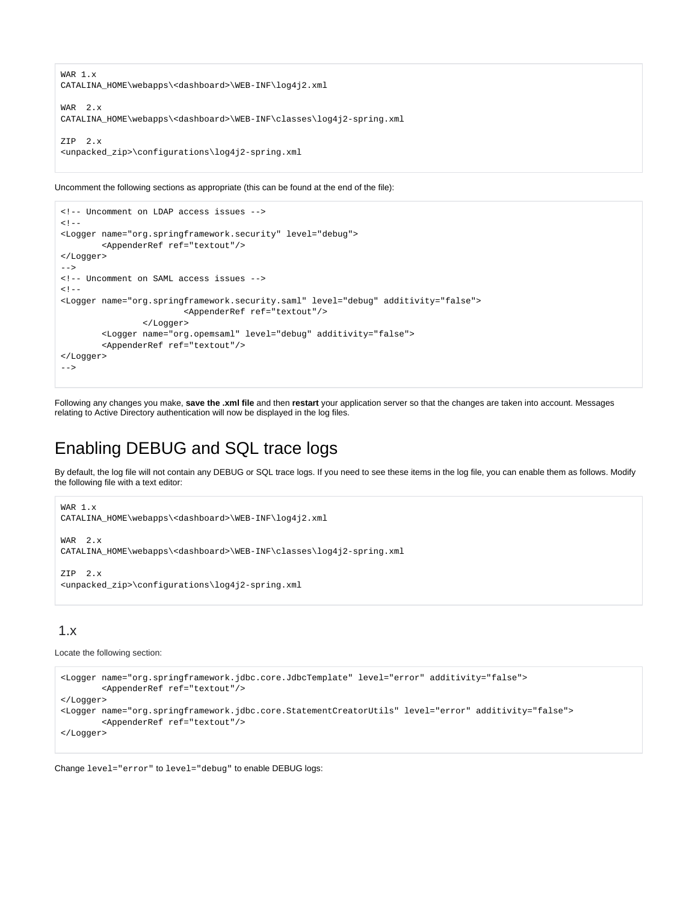```
WAR 1.x
CATALINA_HOME\webapps\<dashboard>\WEB-INF\log4j2.xml
WAR 2.x
CATALINA_HOME\webapps\<dashboard>\WEB-INF\classes\log4j2-spring.xml
ZIP 2.x
<unpacked_zip>\configurations\log4j2-spring.xml
```
Uncomment the following sections as appropriate (this can be found at the end of the file):

```
<!-- Uncomment on LDAP access issues -->
< ! - -<Logger name="org.springframework.security" level="debug">
        <AppenderRef ref="textout"/>
</Logger> 
-->
<!-- Uncomment on SAML access issues -->
<! -<Logger name="org.springframework.security.saml" level="debug" additivity="false">
                         <AppenderRef ref="textout"/>
                 </Logger>
         <Logger name="org.opemsaml" level="debug" additivity="false">
         <AppenderRef ref="textout"/>
</Logger>
-->
```
Following any changes you make, **save the .xml file** and then **restart** your application server so that the changes are taken into account. Messages relating to Active Directory authentication will now be displayed in the log files.

## <span id="page-4-0"></span>Enabling DEBUG and SQL trace logs

By default, the log file will not contain any DEBUG or SQL trace logs. If you need to see these items in the log file, you can enable them as follows. Modify the following file with a text editor:

```
WAR 1.x
CATALINA_HOME\webapps\<dashboard>\WEB-INF\log4j2.xml
WAR 2.x
CATALINA_HOME\webapps\<dashboard>\WEB-INF\classes\log4j2-spring.xml
```
 $ZTD$   $2 \times$ <unpacked\_zip>\configurations\log4j2-spring.xml

### <span id="page-4-1"></span>1.x

Locate the following section:

```
<Logger name="org.springframework.jdbc.core.JdbcTemplate" level="error" additivity="false">
        <AppenderRef ref="textout"/>
</Logger>
<Logger name="org.springframework.jdbc.core.StatementCreatorUtils" level="error" additivity="false">
        <AppenderRef ref="textout"/>
</Logger>
```
Change level="error" to level="debug" to enable DEBUG logs: